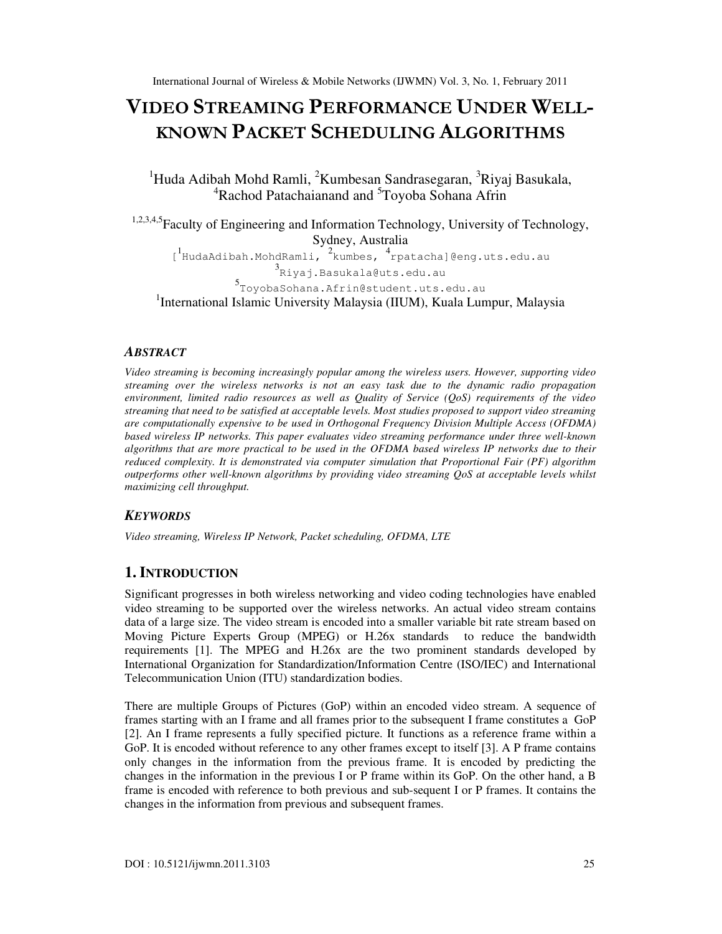# VIDEO STREAMING PERFORMANCE UNDER WELL-KNOWN PACKET SCHEDULING ALGORITHMS

<sup>1</sup>Huda Adibah Mohd Ramli, <sup>2</sup>Kumbesan Sandrasegaran, <sup>3</sup>Riyaj Basukala, <sup>4</sup>Rachod Patachaianand and <sup>5</sup>Toyoba Sohana Afrin

1,2,3,4,5Faculty of Engineering and Information Technology, University of Technology, Sydney, Australia [<sup>1</sup>HudaAdibah.MohdRamli, <sup>2</sup>kumbes, <sup>4</sup>rpatacha]@eng.uts.edu.au<br><sup>3</sup>Riyaj.Basukala@uts.edu.au 5 ToyobaSohana.Afrin@student.uts.edu.au

<sup>1</sup>International Islamic University Malaysia (IIUM), Kuala Lumpur, Malaysia

## *ABSTRACT*

*Video streaming is becoming increasingly popular among the wireless users. However, supporting video streaming over the wireless networks is not an easy task due to the dynamic radio propagation environment, limited radio resources as well as Quality of Service (QoS) requirements of the video streaming that need to be satisfied at acceptable levels. Most studies proposed to support video streaming are computationally expensive to be used in Orthogonal Frequency Division Multiple Access (OFDMA) based wireless IP networks. This paper evaluates video streaming performance under three well-known algorithms that are more practical to be used in the OFDMA based wireless IP networks due to their reduced complexity. It is demonstrated via computer simulation that Proportional Fair (PF) algorithm outperforms other well-known algorithms by providing video streaming QoS at acceptable levels whilst maximizing cell throughput.* 

# *KEYWORDS*

*Video streaming, Wireless IP Network, Packet scheduling, OFDMA, LTE* 

# **1. INTRODUCTION**

Significant progresses in both wireless networking and video coding technologies have enabled video streaming to be supported over the wireless networks. An actual video stream contains data of a large size. The video stream is encoded into a smaller variable bit rate stream based on Moving Picture Experts Group (MPEG) or H.26x standards to reduce the bandwidth requirements [1]. The MPEG and H.26x are the two prominent standards developed by International Organization for Standardization/Information Centre (ISO/IEC) and International Telecommunication Union (ITU) standardization bodies.

There are multiple Groups of Pictures (GoP) within an encoded video stream. A sequence of frames starting with an I frame and all frames prior to the subsequent I frame constitutes a GoP [2]. An I frame represents a fully specified picture. It functions as a reference frame within a GoP. It is encoded without reference to any other frames except to itself [3]. A P frame contains only changes in the information from the previous frame. It is encoded by predicting the changes in the information in the previous I or P frame within its GoP. On the other hand, a B frame is encoded with reference to both previous and sub-sequent I or P frames. It contains the changes in the information from previous and subsequent frames.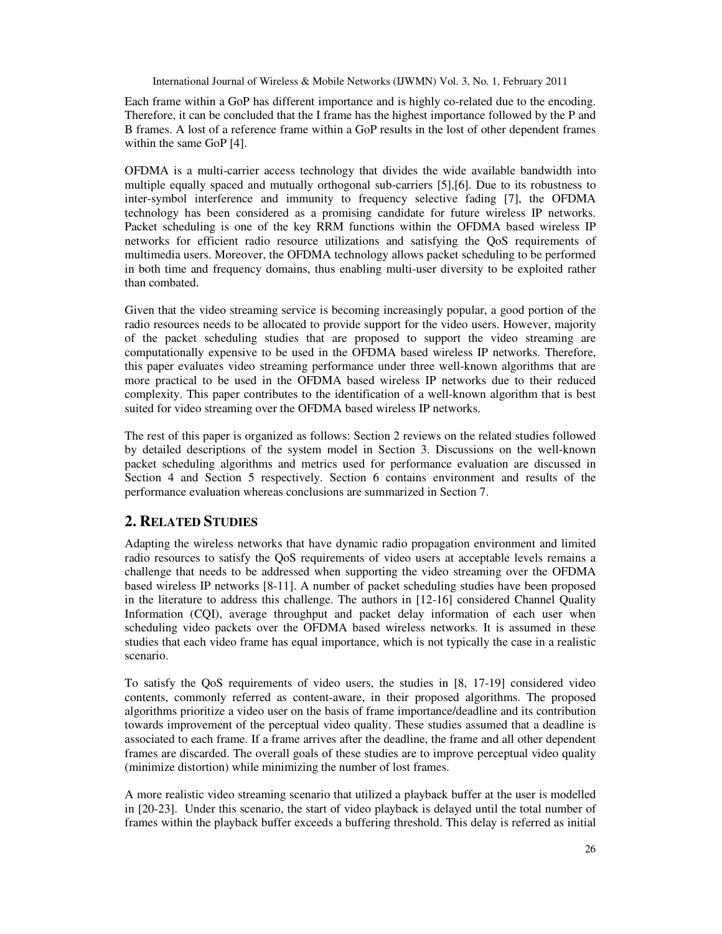Each frame within a GoP has different importance and is highly co-related due to the encoding. Therefore, it can be concluded that the I frame has the highest importance followed by the P and B frames. A lost of a reference frame within a GoP results in the lost of other dependent frames within the same GoP [4].

OFDMA is a multi-carrier access technology that divides the wide available bandwidth into multiple equally spaced and mutually orthogonal sub-carriers [5],[6]. Due to its robustness to inter-symbol interference and immunity to frequency selective fading [7], the OFDMA technology has been considered as a promising candidate for future wireless IP networks. Packet scheduling is one of the key RRM functions within the OFDMA based wireless IP networks for efficient radio resource utilizations and satisfying the QoS requirements of multimedia users. Moreover, the OFDMA technology allows packet scheduling to be performed in both time and frequency domains, thus enabling multi-user diversity to be exploited rather than combated.

Given that the video streaming service is becoming increasingly popular, a good portion of the radio resources needs to be allocated to provide support for the video users. However, majority of the packet scheduling studies that are proposed to support the video streaming are computationally expensive to be used in the OFDMA based wireless IP networks. Therefore, this paper evaluates video streaming performance under three well-known algorithms that are more practical to be used in the OFDMA based wireless IP networks due to their reduced complexity. This paper contributes to the identification of a well-known algorithm that is best suited for video streaming over the OFDMA based wireless IP networks.

The rest of this paper is organized as follows: Section 2 reviews on the related studies followed by detailed descriptions of the system model in Section 3. Discussions on the well-known packet scheduling algorithms and metrics used for performance evaluation are discussed in Section 4 and Section 5 respectively. Section 6 contains environment and results of the performance evaluation whereas conclusions are summarized in Section 7.

## **2. RELATED STUDIES**

Adapting the wireless networks that have dynamic radio propagation environment and limited radio resources to satisfy the QoS requirements of video users at acceptable levels remains a challenge that needs to be addressed when supporting the video streaming over the OFDMA based wireless IP networks [8-11]. A number of packet scheduling studies have been proposed in the literature to address this challenge. The authors in [12-16] considered Channel Quality Information (CQI), average throughput and packet delay information of each user when scheduling video packets over the OFDMA based wireless networks. It is assumed in these studies that each video frame has equal importance, which is not typically the case in a realistic scenario.

To satisfy the QoS requirements of video users, the studies in [8, 17-19] considered video contents, commonly referred as content-aware, in their proposed algorithms. The proposed algorithms prioritize a video user on the basis of frame importance/deadline and its contribution towards improvement of the perceptual video quality. These studies assumed that a deadline is associated to each frame. If a frame arrives after the deadline, the frame and all other dependent frames are discarded. The overall goals of these studies are to improve perceptual video quality (minimize distortion) while minimizing the number of lost frames.

A more realistic video streaming scenario that utilized a playback buffer at the user is modelled in [20-23]. Under this scenario, the start of video playback is delayed until the total number of frames within the playback buffer exceeds a buffering threshold. This delay is referred as initial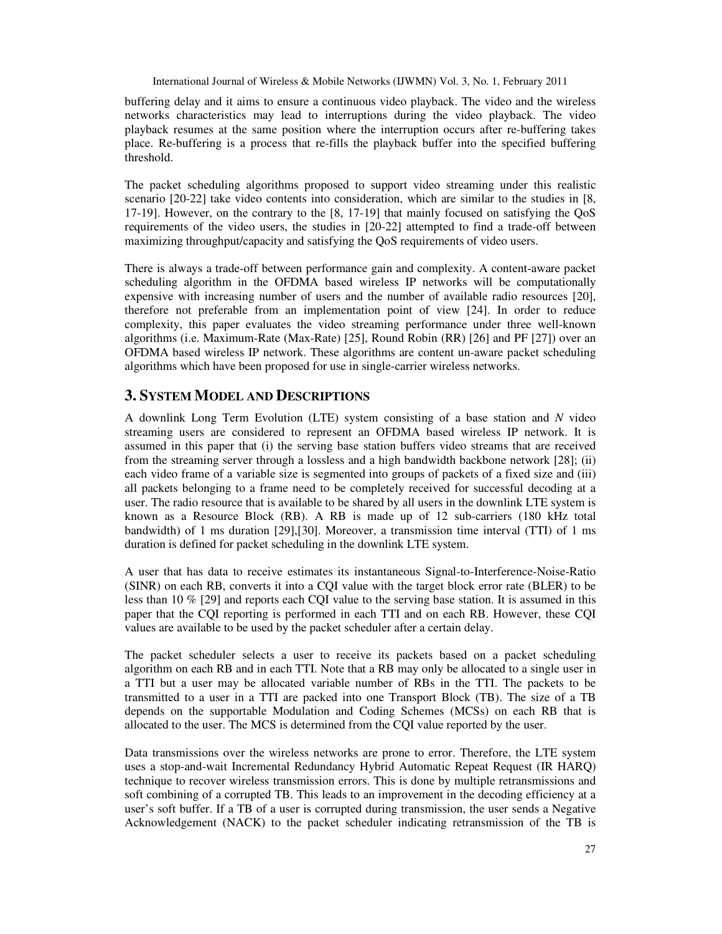buffering delay and it aims to ensure a continuous video playback. The video and the wireless networks characteristics may lead to interruptions during the video playback. The video playback resumes at the same position where the interruption occurs after re-buffering takes place. Re-buffering is a process that re-fills the playback buffer into the specified buffering threshold.

The packet scheduling algorithms proposed to support video streaming under this realistic scenario [20-22] take video contents into consideration, which are similar to the studies in [8, 17-19]. However, on the contrary to the [8, 17-19] that mainly focused on satisfying the QoS requirements of the video users, the studies in [20-22] attempted to find a trade-off between maximizing throughput/capacity and satisfying the QoS requirements of video users.

There is always a trade-off between performance gain and complexity. A content-aware packet scheduling algorithm in the OFDMA based wireless IP networks will be computationally expensive with increasing number of users and the number of available radio resources [20], therefore not preferable from an implementation point of view [24]. In order to reduce complexity, this paper evaluates the video streaming performance under three well-known algorithms (i.e. Maximum-Rate (Max-Rate) [25], Round Robin (RR) [26] and PF [27]) over an OFDMA based wireless IP network. These algorithms are content un-aware packet scheduling algorithms which have been proposed for use in single-carrier wireless networks.

#### **3. SYSTEM MODEL AND DESCRIPTIONS**

A downlink Long Term Evolution (LTE) system consisting of a base station and *N* video streaming users are considered to represent an OFDMA based wireless IP network. It is assumed in this paper that (i) the serving base station buffers video streams that are received from the streaming server through a lossless and a high bandwidth backbone network [28]; (ii) each video frame of a variable size is segmented into groups of packets of a fixed size and (iii) all packets belonging to a frame need to be completely received for successful decoding at a user. The radio resource that is available to be shared by all users in the downlink LTE system is known as a Resource Block (RB). A RB is made up of 12 sub-carriers (180 kHz total bandwidth) of 1 ms duration [29],[30]. Moreover, a transmission time interval (TTI) of 1 ms duration is defined for packet scheduling in the downlink LTE system.

A user that has data to receive estimates its instantaneous Signal-to-Interference-Noise-Ratio (SINR) on each RB, converts it into a CQI value with the target block error rate (BLER) to be less than 10 % [29] and reports each CQI value to the serving base station. It is assumed in this paper that the CQI reporting is performed in each TTI and on each RB. However, these CQI values are available to be used by the packet scheduler after a certain delay.

The packet scheduler selects a user to receive its packets based on a packet scheduling algorithm on each RB and in each TTI. Note that a RB may only be allocated to a single user in a TTI but a user may be allocated variable number of RBs in the TTI. The packets to be transmitted to a user in a TTI are packed into one Transport Block (TB). The size of a TB depends on the supportable Modulation and Coding Schemes (MCSs) on each RB that is allocated to the user. The MCS is determined from the CQI value reported by the user.

Data transmissions over the wireless networks are prone to error. Therefore, the LTE system uses a stop-and-wait Incremental Redundancy Hybrid Automatic Repeat Request (IR HARQ) technique to recover wireless transmission errors. This is done by multiple retransmissions and soft combining of a corrupted TB. This leads to an improvement in the decoding efficiency at a user's soft buffer. If a TB of a user is corrupted during transmission, the user sends a Negative Acknowledgement (NACK) to the packet scheduler indicating retransmission of the TB is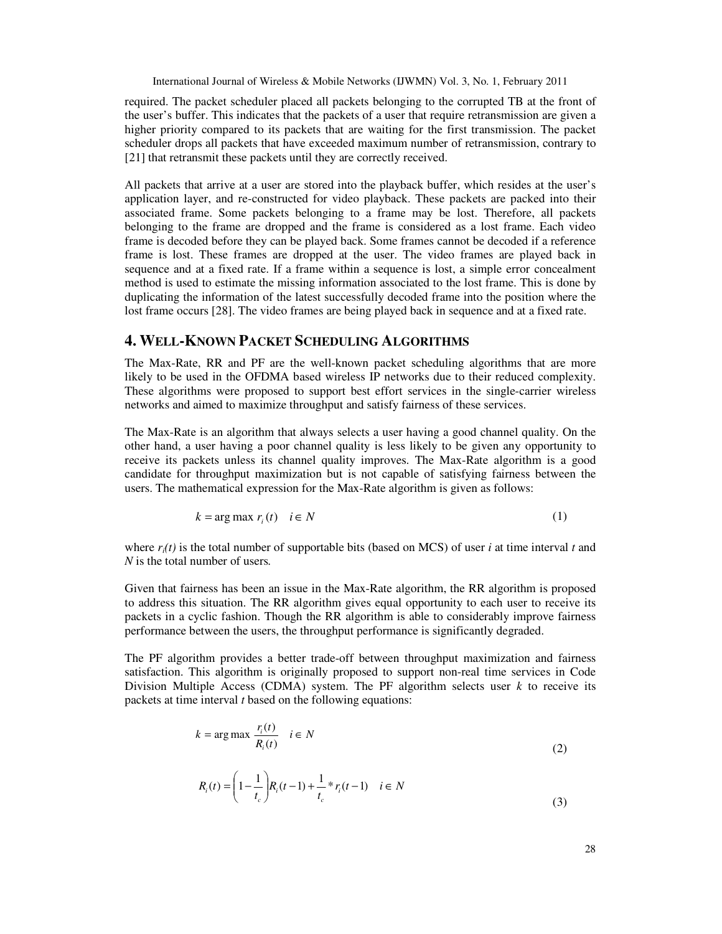required. The packet scheduler placed all packets belonging to the corrupted TB at the front of the user's buffer. This indicates that the packets of a user that require retransmission are given a higher priority compared to its packets that are waiting for the first transmission. The packet scheduler drops all packets that have exceeded maximum number of retransmission, contrary to [21] that retransmit these packets until they are correctly received.

All packets that arrive at a user are stored into the playback buffer, which resides at the user's application layer, and re-constructed for video playback. These packets are packed into their associated frame. Some packets belonging to a frame may be lost. Therefore, all packets belonging to the frame are dropped and the frame is considered as a lost frame. Each video frame is decoded before they can be played back. Some frames cannot be decoded if a reference frame is lost. These frames are dropped at the user. The video frames are played back in sequence and at a fixed rate. If a frame within a sequence is lost, a simple error concealment method is used to estimate the missing information associated to the lost frame. This is done by duplicating the information of the latest successfully decoded frame into the position where the lost frame occurs [28]. The video frames are being played back in sequence and at a fixed rate.

## **4. WELL-KNOWN PACKET SCHEDULING ALGORITHMS**

The Max-Rate, RR and PF are the well-known packet scheduling algorithms that are more likely to be used in the OFDMA based wireless IP networks due to their reduced complexity. These algorithms were proposed to support best effort services in the single-carrier wireless networks and aimed to maximize throughput and satisfy fairness of these services.

The Max-Rate is an algorithm that always selects a user having a good channel quality. On the other hand, a user having a poor channel quality is less likely to be given any opportunity to receive its packets unless its channel quality improves. The Max-Rate algorithm is a good candidate for throughput maximization but is not capable of satisfying fairness between the users. The mathematical expression for the Max-Rate algorithm is given as follows:

$$
k = \arg \max r_i(t) \quad i \in N
$$
 (1)

where  $r_i(t)$  is the total number of supportable bits (based on MCS) of user *i* at time interval *t* and *N* is the total number of users*.*

Given that fairness has been an issue in the Max-Rate algorithm, the RR algorithm is proposed to address this situation. The RR algorithm gives equal opportunity to each user to receive its packets in a cyclic fashion. Though the RR algorithm is able to considerably improve fairness performance between the users, the throughput performance is significantly degraded.

The PF algorithm provides a better trade-off between throughput maximization and fairness satisfaction. This algorithm is originally proposed to support non-real time services in Code Division Multiple Access (CDMA) system. The PF algorithm selects user  $k$  to receive its packets at time interval *t* based on the following equations:

$$
k = \arg \max \frac{r_i(t)}{R_i(t)} \quad i \in N
$$
  
(2)  

$$
R_i(t) = \left(1 - \frac{1}{R_i(t-1)}\right)R_i(t-1) + \frac{1}{R_i(t-1)} \quad i \in N
$$

$$
R_i(t) = \left(1 - \frac{1}{t_c}\right) R_i(t-1) + \frac{1}{t_c} * r_i(t-1) \quad i \in N
$$
\n(3)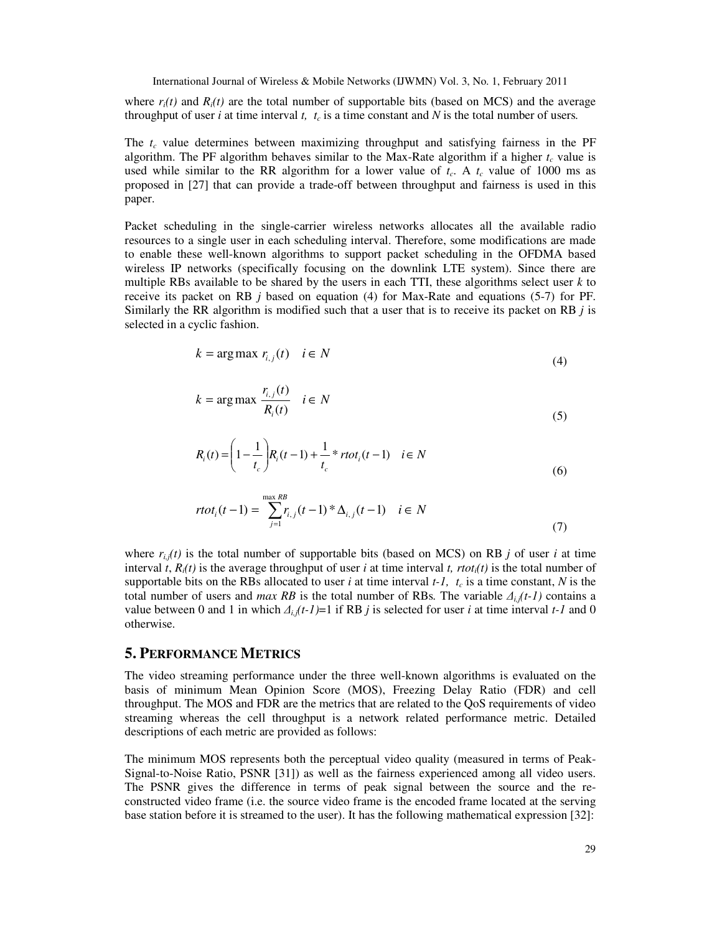where  $r_i(t)$  and  $R_i(t)$  are the total number of supportable bits (based on MCS) and the average throughput of user *i* at time interval *t, t<sub>c</sub>* is a time constant and N is the total number of users.

The *tc* value determines between maximizing throughput and satisfying fairness in the PF algorithm. The PF algorithm behaves similar to the Max-Rate algorithm if a higher *tc* value is used while similar to the RR algorithm for a lower value of  $t_c$ . A  $t_c$  value of 1000 ms as proposed in [27] that can provide a trade-off between throughput and fairness is used in this paper.

Packet scheduling in the single-carrier wireless networks allocates all the available radio resources to a single user in each scheduling interval. Therefore, some modifications are made to enable these well-known algorithms to support packet scheduling in the OFDMA based wireless IP networks (specifically focusing on the downlink LTE system). Since there are multiple RBs available to be shared by the users in each TTI, these algorithms select user *k* to receive its packet on RB *j* based on equation (4) for Max-Rate and equations (5-7) for PF. Similarly the RR algorithm is modified such that a user that is to receive its packet on RB *j* is selected in a cyclic fashion.

$$
k = \arg \max r_{i,j}(t) \quad i \in N
$$
\n<sup>(4)</sup>

$$
k = \arg \max \frac{r_{i,j}(t)}{R_i(t)} \quad i \in N
$$
\n<sup>(5)</sup>

$$
R_i(t) = \left(1 - \frac{1}{t_c}\right) R_i(t-1) + \frac{1}{t_c} * r \tau t_i(t-1) \quad i \in N
$$
\n<sup>(6)</sup>

$$
rtot_i(t-1) = \sum_{j=1}^{\max RB} r_{i,j}(t-1)^* \Delta_{i,j}(t-1) \quad i \in N
$$
\n(7)

where  $r_{i,j}(t)$  is the total number of supportable bits (based on MCS) on RB *j* of user *i* at time interval *t*,  $R_i(t)$  is the average throughput of user *i* at time interval *t*,  $rtot_i(t)$  is the total number of supportable bits on the RBs allocated to user *i* at time interval  $t$ -*l*,  $t_c$  is a time constant, *N* is the total number of users and *max RB* is the total number of RBs. The variable  $\Delta_{i,j}(t-1)$  contains a value between 0 and 1 in which  $\Delta_{i,j}(t-l)=1$  if RB *j* is selected for user *i* at time interval  $t$ -*I* and 0 otherwise.

#### **5. PERFORMANCE METRICS**

The video streaming performance under the three well-known algorithms is evaluated on the basis of minimum Mean Opinion Score (MOS), Freezing Delay Ratio (FDR) and cell throughput. The MOS and FDR are the metrics that are related to the QoS requirements of video streaming whereas the cell throughput is a network related performance metric. Detailed descriptions of each metric are provided as follows:

The minimum MOS represents both the perceptual video quality (measured in terms of Peak-Signal-to-Noise Ratio, PSNR [31]) as well as the fairness experienced among all video users. The PSNR gives the difference in terms of peak signal between the source and the reconstructed video frame (i.e. the source video frame is the encoded frame located at the serving base station before it is streamed to the user). It has the following mathematical expression [32]: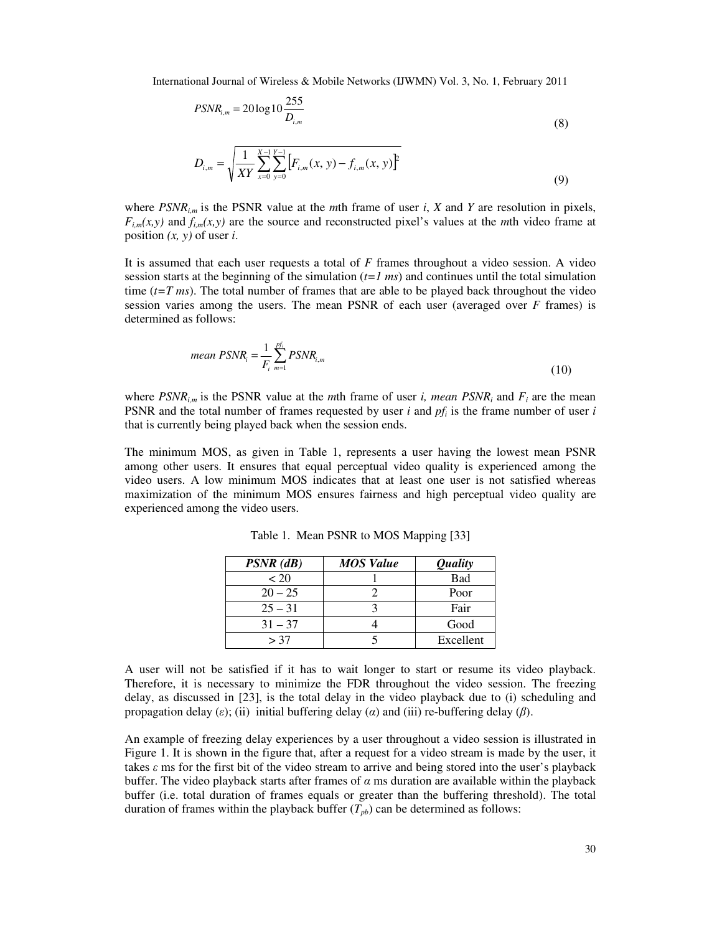$$
PSNR_{i,m} = 20\log 10 \frac{255}{D_{i,m}}
$$
\n(8)

$$
D_{i,m} = \sqrt{\frac{1}{XY} \sum_{x=0}^{X-1} \sum_{y=0}^{Y-1} \left[ F_{i,m}(x, y) - f_{i,m}(x, y) \right]^2}
$$
(9)

where  $PSNR_{i,m}$  is the PSNR value at the *m*th frame of user *i*, *X* and *Y* are resolution in pixels,  $F_{i,m}(x, y)$  and  $f_{i,m}(x, y)$  are the source and reconstructed pixel's values at the *m*th video frame at position *(x, y)* of user *i*.

It is assumed that each user requests a total of *F* frames throughout a video session. A video session starts at the beginning of the simulation (*t=1 ms*) and continues until the total simulation time  $(t=T \, ms)$ . The total number of frames that are able to be played back throughout the video session varies among the users. The mean PSNR of each user (averaged over *F* frames) is determined as follows:

mean 
$$
PSNR_i = \frac{1}{F_i} \sum_{m=1}^{pf_i} PSNR_{i,m}
$$
 (10)

where  $PSNR_{i,m}$  is the PSNR value at the *m*th frame of user *i, mean PSNR<sub>i</sub>* and  $F_i$  are the mean PSNR and the total number of frames requested by user *i* and *pf<sup>i</sup>* is the frame number of user *i* that is currently being played back when the session ends.

The minimum MOS, as given in Table 1, represents a user having the lowest mean PSNR among other users. It ensures that equal perceptual video quality is experienced among the video users. A low minimum MOS indicates that at least one user is not satisfied whereas maximization of the minimum MOS ensures fairness and high perceptual video quality are experienced among the video users.

| $PSNR$ ( $dB$ ) | <b>MOS Value</b> | <i><b>Quality</b></i> |
|-----------------|------------------|-----------------------|
| < 20            |                  | <b>Bad</b>            |
| $20 - 25$       |                  | Poor                  |
| $25 - 31$       |                  | Fair                  |
| $31 - 37$       |                  | Good                  |
| > 37            |                  | Excellent             |

Table 1. Mean PSNR to MOS Mapping [33]

A user will not be satisfied if it has to wait longer to start or resume its video playback. Therefore, it is necessary to minimize the FDR throughout the video session. The freezing delay, as discussed in [23], is the total delay in the video playback due to (i) scheduling and propagation delay (ε); (ii) initial buffering delay ( $\alpha$ ) and (iii) re-buffering delay ( $\beta$ ).

An example of freezing delay experiences by a user throughout a video session is illustrated in Figure 1. It is shown in the figure that, after a request for a video stream is made by the user, it takes  $\varepsilon$  ms for the first bit of the video stream to arrive and being stored into the user's playback buffer. The video playback starts after frames of  $\alpha$  ms duration are available within the playback buffer (i.e. total duration of frames equals or greater than the buffering threshold). The total duration of frames within the playback buffer  $(T_{pb})$  can be determined as follows: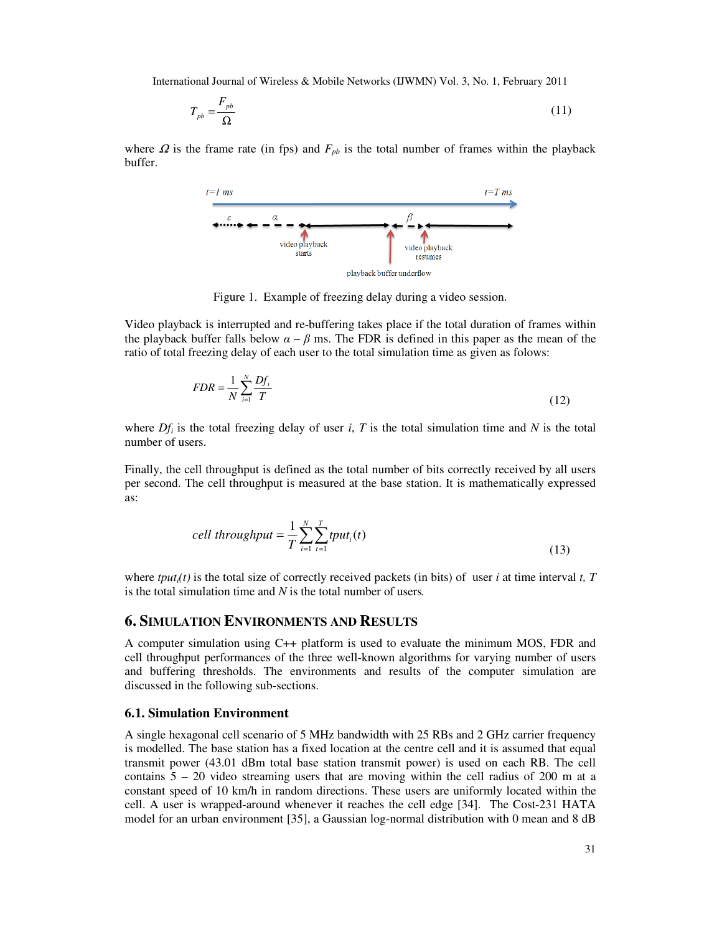$$
T_{pb} = \frac{F_{pb}}{\Omega} \tag{11}
$$

where  $\Omega$  is the frame rate (in fps) and  $F_{pb}$  is the total number of frames within the playback buffer.



Figure 1. Example of freezing delay during a video session.

Video playback is interrupted and re-buffering takes place if the total duration of frames within the playback buffer falls below  $\alpha - \beta$  ms. The FDR is defined in this paper as the mean of the ratio of total freezing delay of each user to the total simulation time as given as folows:

$$
FDR = \frac{1}{N} \sum_{i=1}^{N} \frac{Df_i}{T}
$$
\n(12)

where  $Df_i$  is the total freezing delay of user *i*, *T* is the total simulation time and *N* is the total number of users.

Finally, the cell throughput is defined as the total number of bits correctly received by all users per second. The cell throughput is measured at the base station. It is mathematically expressed as:

$$
cell throughput = \frac{1}{T} \sum_{i=1}^{N} \sum_{t=1}^{T} tput_i(t)
$$
\n(13)

where  $tput<sub>i</sub>(t)$  is the total size of correctly received packets (in bits) of user *i* at time interval *t*, *T* is the total simulation time and *N* is the total number of users*.*

#### **6. SIMULATION ENVIRONMENTS AND RESULTS**

A computer simulation using C++ platform is used to evaluate the minimum MOS, FDR and cell throughput performances of the three well-known algorithms for varying number of users and buffering thresholds. The environments and results of the computer simulation are discussed in the following sub-sections.

#### **6.1. Simulation Environment**

A single hexagonal cell scenario of 5 MHz bandwidth with 25 RBs and 2 GHz carrier frequency is modelled. The base station has a fixed location at the centre cell and it is assumed that equal transmit power (43.01 dBm total base station transmit power) is used on each RB. The cell contains  $5 - 20$  video streaming users that are moving within the cell radius of 200 m at a constant speed of 10 km/h in random directions. These users are uniformly located within the cell. A user is wrapped-around whenever it reaches the cell edge [34]. The Cost-231 HATA model for an urban environment [35], a Gaussian log-normal distribution with 0 mean and 8 dB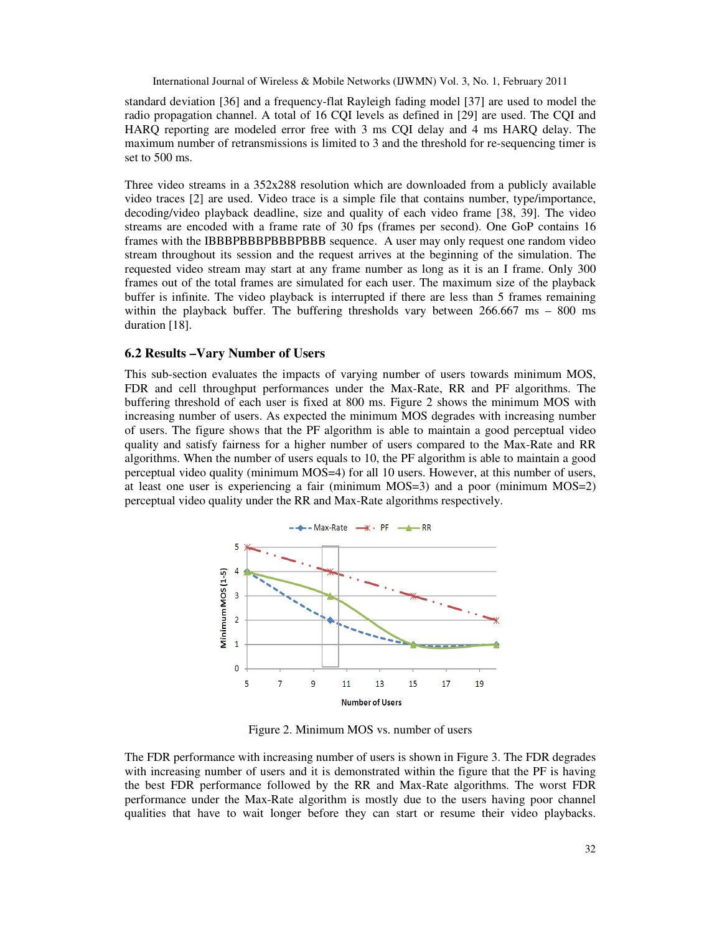standard deviation [36] and a frequency-flat Rayleigh fading model [37] are used to model the radio propagation channel. A total of 16 CQI levels as defined in [29] are used. The CQI and HARQ reporting are modeled error free with 3 ms CQI delay and 4 ms HARQ delay. The maximum number of retransmissions is limited to 3 and the threshold for re-sequencing timer is set to 500 ms.

Three video streams in a 352x288 resolution which are downloaded from a publicly available video traces [2] are used. Video trace is a simple file that contains number, type/importance, decoding/video playback deadline, size and quality of each video frame [38, 39]. The video streams are encoded with a frame rate of 30 fps (frames per second). One GoP contains 16 frames with the IBBBPBBBPBBBPBBB sequence. A user may only request one random video stream throughout its session and the request arrives at the beginning of the simulation. The requested video stream may start at any frame number as long as it is an I frame. Only 300 frames out of the total frames are simulated for each user. The maximum size of the playback buffer is infinite. The video playback is interrupted if there are less than 5 frames remaining within the playback buffer. The buffering thresholds vary between  $266.667$  ms  $-800$  ms duration [18].

#### **6.2 Results –Vary Number of Users**

This sub-section evaluates the impacts of varying number of users towards minimum MOS, FDR and cell throughput performances under the Max-Rate, RR and PF algorithms. The buffering threshold of each user is fixed at 800 ms. Figure 2 shows the minimum MOS with increasing number of users. As expected the minimum MOS degrades with increasing number of users. The figure shows that the PF algorithm is able to maintain a good perceptual video quality and satisfy fairness for a higher number of users compared to the Max-Rate and RR algorithms. When the number of users equals to 10, the PF algorithm is able to maintain a good perceptual video quality (minimum MOS=4) for all 10 users. However, at this number of users, at least one user is experiencing a fair (minimum MOS=3) and a poor (minimum MOS=2) perceptual video quality under the RR and Max-Rate algorithms respectively.



Figure 2. Minimum MOS vs. number of users

The FDR performance with increasing number of users is shown in Figure 3. The FDR degrades with increasing number of users and it is demonstrated within the figure that the PF is having the best FDR performance followed by the RR and Max-Rate algorithms. The worst FDR performance under the Max-Rate algorithm is mostly due to the users having poor channel qualities that have to wait longer before they can start or resume their video playbacks.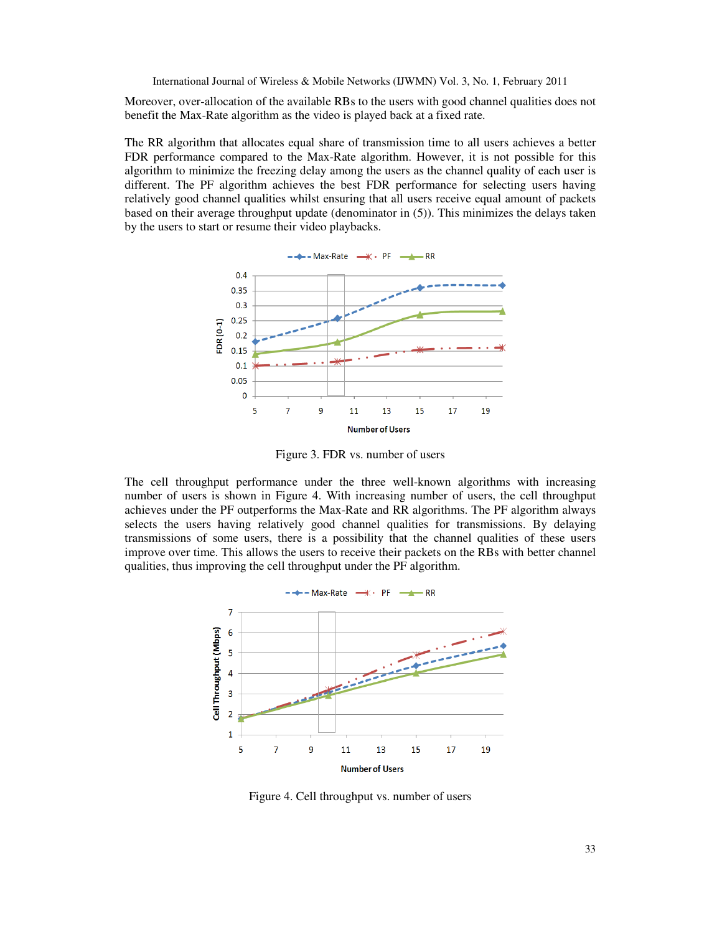Moreover, over-allocation of the available RBs to the users with good channel qualities does not benefit the Max-Rate algorithm as the video is played back at a fixed rate.

The RR algorithm that allocates equal share of transmission time to all users achieves a better FDR performance compared to the Max-Rate algorithm. However, it is not possible for this algorithm to minimize the freezing delay among the users as the channel quality of each user is different. The PF algorithm achieves the best FDR performance for selecting users having relatively good channel qualities whilst ensuring that all users receive equal amount of packets based on their average throughput update (denominator in (5)). This minimizes the delays taken by the users to start or resume their video playbacks.



Figure 3. FDR vs. number of users

The cell throughput performance under the three well-known algorithms with increasing number of users is shown in Figure 4. With increasing number of users, the cell throughput achieves under the PF outperforms the Max-Rate and RR algorithms. The PF algorithm always selects the users having relatively good channel qualities for transmissions. By delaying transmissions of some users, there is a possibility that the channel qualities of these users improve over time. This allows the users to receive their packets on the RBs with better channel qualities, thus improving the cell throughput under the PF algorithm.



Figure 4. Cell throughput vs. number of users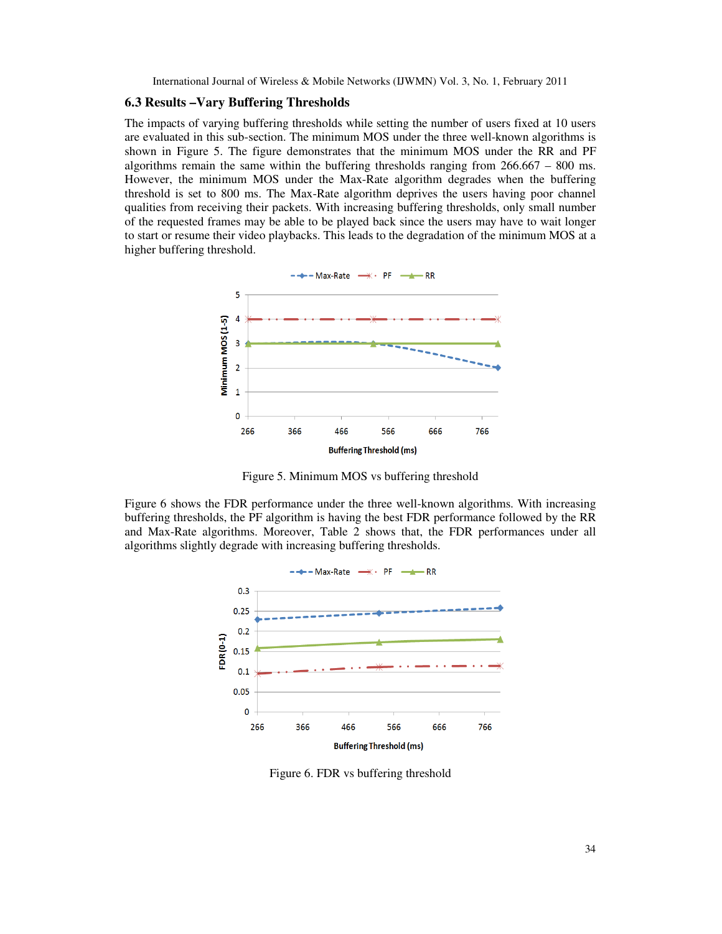#### **6.3 Results –Vary Buffering Thresholds**

The impacts of varying buffering thresholds while setting the number of users fixed at 10 users are evaluated in this sub-section. The minimum MOS under the three well-known algorithms is shown in Figure 5. The figure demonstrates that the minimum MOS under the RR and PF algorithms remain the same within the buffering thresholds ranging from 266.667 – 800 ms. However, the minimum MOS under the Max-Rate algorithm degrades when the buffering threshold is set to 800 ms. The Max-Rate algorithm deprives the users having poor channel qualities from receiving their packets. With increasing buffering thresholds, only small number of the requested frames may be able to be played back since the users may have to wait longer to start or resume their video playbacks. This leads to the degradation of the minimum MOS at a higher buffering threshold.



Figure 5. Minimum MOS vs buffering threshold

Figure 6 shows the FDR performance under the three well-known algorithms. With increasing buffering thresholds, the PF algorithm is having the best FDR performance followed by the RR and Max-Rate algorithms. Moreover, Table 2 shows that, the FDR performances under all algorithms slightly degrade with increasing buffering thresholds.



Figure 6. FDR vs buffering threshold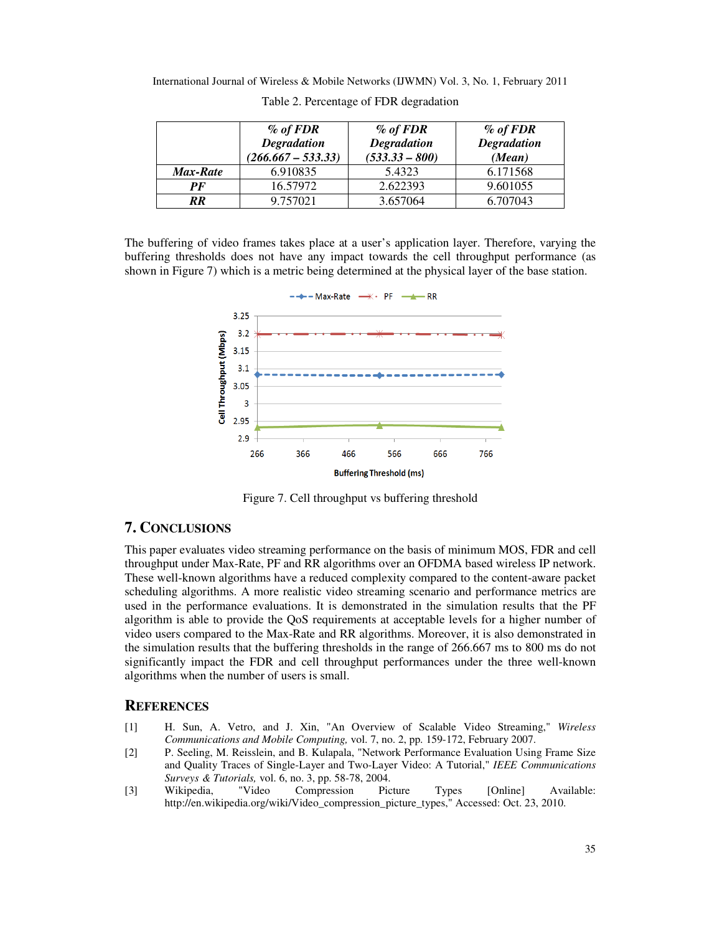International Journal of Wireless & Mobile Networks (IJWMN) Vol. 3, No. 1, February 2011

|                 | $%$ of FDR<br><b>Degradation</b><br>$(266.667 - 533.33)$ | $\%$ of FDR<br><b>Degradation</b><br>$(533.33 - 800)$ | $\%$ of FDR<br><b>Degradation</b><br>(Mean) |
|-----------------|----------------------------------------------------------|-------------------------------------------------------|---------------------------------------------|
| <b>Max-Rate</b> | 6.910835                                                 | 5.4323                                                | 6.171568                                    |
| PF              | 16.57972                                                 | 2.622393                                              | 9.601055                                    |
| RR              | 9.757021                                                 | 3.657064                                              | 6.707043                                    |

Table 2. Percentage of FDR degradation

The buffering of video frames takes place at a user's application layer. Therefore, varying the buffering thresholds does not have any impact towards the cell throughput performance (as shown in Figure 7) which is a metric being determined at the physical layer of the base station.



Figure 7. Cell throughput vs buffering threshold

## **7. CONCLUSIONS**

This paper evaluates video streaming performance on the basis of minimum MOS, FDR and cell throughput under Max-Rate, PF and RR algorithms over an OFDMA based wireless IP network. These well-known algorithms have a reduced complexity compared to the content-aware packet scheduling algorithms. A more realistic video streaming scenario and performance metrics are used in the performance evaluations. It is demonstrated in the simulation results that the PF algorithm is able to provide the QoS requirements at acceptable levels for a higher number of video users compared to the Max-Rate and RR algorithms. Moreover, it is also demonstrated in the simulation results that the buffering thresholds in the range of 266.667 ms to 800 ms do not significantly impact the FDR and cell throughput performances under the three well-known algorithms when the number of users is small.

## **REFERENCES**

- [1] H. Sun, A. Vetro, and J. Xin, "An Overview of Scalable Video Streaming," *Wireless Communications and Mobile Computing,* vol. 7, no. 2, pp. 159-172, February 2007.
- [2] P. Seeling, M. Reisslein, and B. Kulapala, "Network Performance Evaluation Using Frame Size and Quality Traces of Single-Layer and Two-Layer Video: A Tutorial," *IEEE Communications Surveys & Tutorials,* vol. 6, no. 3, pp. 58-78, 2004.
- [3] Wikipedia, "Video Compression Picture Types [Online] Available: http://en.wikipedia.org/wiki/Video\_compression\_picture\_types," Accessed: Oct. 23, 2010.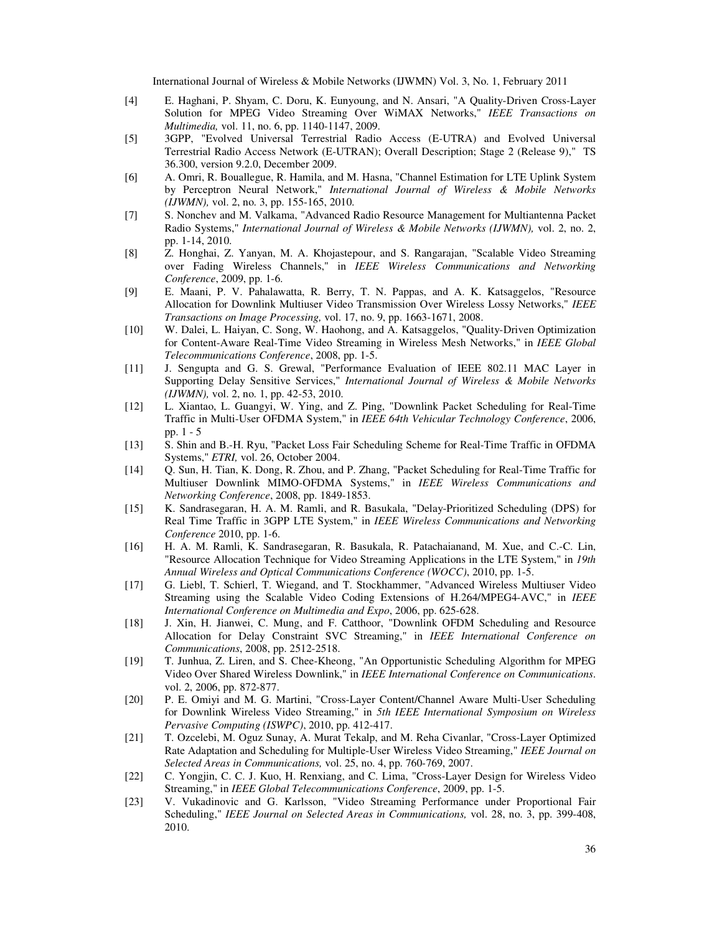- [4] E. Haghani, P. Shyam, C. Doru, K. Eunyoung, and N. Ansari, "A Quality-Driven Cross-Layer Solution for MPEG Video Streaming Over WiMAX Networks," *IEEE Transactions on Multimedia,* vol. 11, no. 6, pp. 1140-1147, 2009.
- [5] 3GPP, "Evolved Universal Terrestrial Radio Access (E-UTRA) and Evolved Universal Terrestrial Radio Access Network (E-UTRAN); Overall Description; Stage 2 (Release 9)," TS 36.300, version 9.2.0, December 2009.
- [6] A. Omri, R. Bouallegue, R. Hamila, and M. Hasna, "Channel Estimation for LTE Uplink System by Perceptron Neural Network," *International Journal of Wireless & Mobile Networks (IJWMN),* vol. 2, no. 3, pp. 155-165, 2010.
- [7] S. Nonchev and M. Valkama, "Advanced Radio Resource Management for Multiantenna Packet Radio Systems," *International Journal of Wireless & Mobile Networks (IJWMN),* vol. 2, no. 2, pp. 1-14, 2010.
- [8] Z. Honghai, Z. Yanyan, M. A. Khojastepour, and S. Rangarajan, "Scalable Video Streaming over Fading Wireless Channels," in *IEEE Wireless Communications and Networking Conference*, 2009, pp. 1-6.
- [9] E. Maani, P. V. Pahalawatta, R. Berry, T. N. Pappas, and A. K. Katsaggelos, "Resource Allocation for Downlink Multiuser Video Transmission Over Wireless Lossy Networks," *IEEE Transactions on Image Processing,* vol. 17, no. 9, pp. 1663-1671, 2008.
- [10] W. Dalei, L. Haiyan, C. Song, W. Haohong, and A. Katsaggelos, "Quality-Driven Optimization for Content-Aware Real-Time Video Streaming in Wireless Mesh Networks," in *IEEE Global Telecommunications Conference*, 2008, pp. 1-5.
- [11] J. Sengupta and G. S. Grewal, "Performance Evaluation of IEEE 802.11 MAC Layer in Supporting Delay Sensitive Services," *International Journal of Wireless & Mobile Networks (IJWMN),* vol. 2, no. 1, pp. 42-53, 2010.
- [12] L. Xiantao, L. Guangyi, W. Ying, and Z. Ping, "Downlink Packet Scheduling for Real-Time Traffic in Multi-User OFDMA System," in *IEEE 64th Vehicular Technology Conference*, 2006, pp. 1 - 5
- [13] S. Shin and B.-H. Ryu, "Packet Loss Fair Scheduling Scheme for Real-Time Traffic in OFDMA Systems," *ETRI,* vol. 26, October 2004.
- [14] Q. Sun, H. Tian, K. Dong, R. Zhou, and P. Zhang, "Packet Scheduling for Real-Time Traffic for Multiuser Downlink MIMO-OFDMA Systems," in *IEEE Wireless Communications and Networking Conference*, 2008, pp. 1849-1853.
- [15] K. Sandrasegaran, H. A. M. Ramli, and R. Basukala, "Delay-Prioritized Scheduling (DPS) for Real Time Traffic in 3GPP LTE System," in *IEEE Wireless Communications and Networking Conference* 2010, pp. 1-6.
- [16] H. A. M. Ramli, K. Sandrasegaran, R. Basukala, R. Patachaianand, M. Xue, and C.-C. Lin, "Resource Allocation Technique for Video Streaming Applications in the LTE System," in *19th Annual Wireless and Optical Communications Conference (WOCC)*, 2010, pp. 1-5.
- [17] G. Liebl, T. Schierl, T. Wiegand, and T. Stockhammer, "Advanced Wireless Multiuser Video Streaming using the Scalable Video Coding Extensions of H.264/MPEG4-AVC," in *IEEE International Conference on Multimedia and Expo*, 2006, pp. 625-628.
- [18] J. Xin, H. Jianwei, C. Mung, and F. Catthoor, "Downlink OFDM Scheduling and Resource Allocation for Delay Constraint SVC Streaming," in *IEEE International Conference on Communications*, 2008, pp. 2512-2518.
- [19] T. Junhua, Z. Liren, and S. Chee-Kheong, "An Opportunistic Scheduling Algorithm for MPEG Video Over Shared Wireless Downlink," in *IEEE International Conference on Communications*. vol. 2, 2006, pp. 872-877.
- [20] P. E. Omiyi and M. G. Martini, "Cross-Layer Content/Channel Aware Multi-User Scheduling for Downlink Wireless Video Streaming," in *5th IEEE International Symposium on Wireless Pervasive Computing (ISWPC)*, 2010, pp. 412-417.
- [21] T. Ozcelebi, M. Oguz Sunay, A. Murat Tekalp, and M. Reha Civanlar, "Cross-Layer Optimized Rate Adaptation and Scheduling for Multiple-User Wireless Video Streaming," *IEEE Journal on Selected Areas in Communications,* vol. 25, no. 4, pp. 760-769, 2007.
- [22] C. Yongjin, C. C. J. Kuo, H. Renxiang, and C. Lima, "Cross-Layer Design for Wireless Video Streaming," in *IEEE Global Telecommunications Conference*, 2009, pp. 1-5.
- [23] V. Vukadinovic and G. Karlsson, "Video Streaming Performance under Proportional Fair Scheduling," *IEEE Journal on Selected Areas in Communications,* vol. 28, no. 3, pp. 399-408, 2010.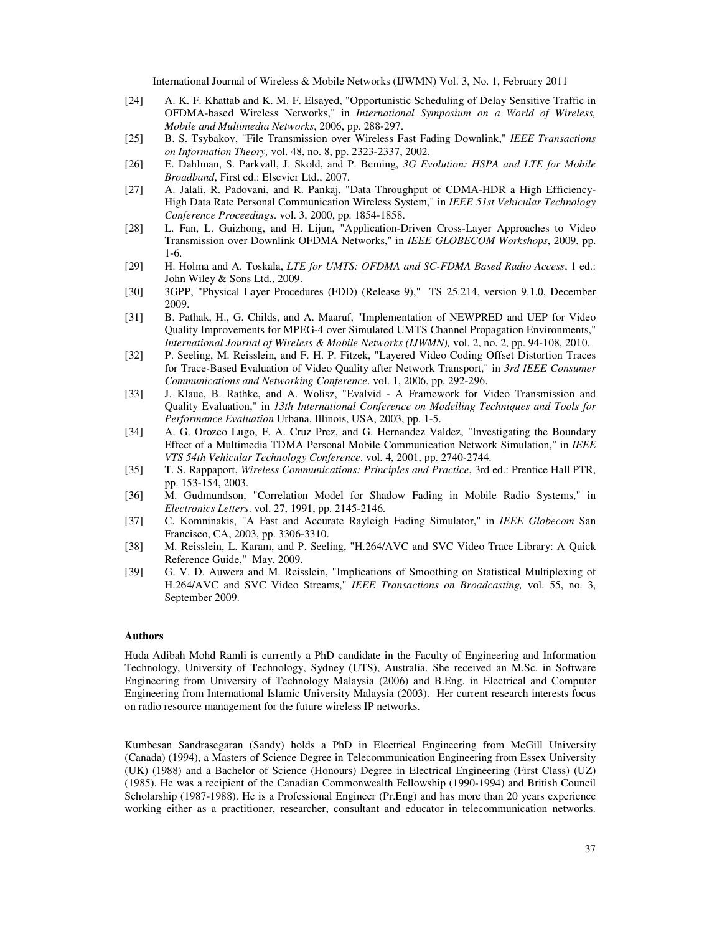- [24] A. K. F. Khattab and K. M. F. Elsayed, "Opportunistic Scheduling of Delay Sensitive Traffic in OFDMA-based Wireless Networks," in *International Symposium on a World of Wireless, Mobile and Multimedia Networks*, 2006, pp. 288-297.
- [25] B. S. Tsybakov, "File Transmission over Wireless Fast Fading Downlink," *IEEE Transactions on Information Theory,* vol. 48, no. 8, pp. 2323-2337, 2002.
- [26] E. Dahlman, S. Parkvall, J. Skold, and P. Beming, *3G Evolution: HSPA and LTE for Mobile Broadband*, First ed.: Elsevier Ltd., 2007.
- [27] A. Jalali, R. Padovani, and R. Pankaj, "Data Throughput of CDMA-HDR a High Efficiency-High Data Rate Personal Communication Wireless System," in *IEEE 51st Vehicular Technology Conference Proceedings*. vol. 3, 2000, pp. 1854-1858.
- [28] L. Fan, L. Guizhong, and H. Lijun, "Application-Driven Cross-Layer Approaches to Video Transmission over Downlink OFDMA Networks," in *IEEE GLOBECOM Workshops*, 2009, pp. 1-6.
- [29] H. Holma and A. Toskala, *LTE for UMTS: OFDMA and SC-FDMA Based Radio Access*, 1 ed.: John Wiley & Sons Ltd., 2009.
- [30] 3GPP, "Physical Layer Procedures (FDD) (Release 9)," TS 25.214, version 9.1.0, December 2009.
- [31] B. Pathak, H., G. Childs, and A. Maaruf, "Implementation of NEWPRED and UEP for Video Quality Improvements for MPEG-4 over Simulated UMTS Channel Propagation Environments," *International Journal of Wireless & Mobile Networks (IJWMN),* vol. 2, no. 2, pp. 94-108, 2010.
- [32] P. Seeling, M. Reisslein, and F. H. P. Fitzek, "Layered Video Coding Offset Distortion Traces for Trace-Based Evaluation of Video Quality after Network Transport," in *3rd IEEE Consumer Communications and Networking Conference*. vol. 1, 2006, pp. 292-296.
- [33] J. Klaue, B. Rathke, and A. Wolisz, "Evalvid A Framework for Video Transmission and Quality Evaluation," in *13th International Conference on Modelling Techniques and Tools for Performance Evaluation* Urbana, Illinois, USA, 2003, pp. 1-5.
- [34] A. G. Orozco Lugo, F. A. Cruz Prez, and G. Hernandez Valdez, "Investigating the Boundary Effect of a Multimedia TDMA Personal Mobile Communication Network Simulation," in *IEEE VTS 54th Vehicular Technology Conference*. vol. 4, 2001, pp. 2740-2744.
- [35] T. S. Rappaport, *Wireless Communications: Principles and Practice*, 3rd ed.: Prentice Hall PTR, pp. 153-154, 2003.
- [36] M. Gudmundson, "Correlation Model for Shadow Fading in Mobile Radio Systems," in *Electronics Letters*. vol. 27, 1991, pp. 2145-2146.
- [37] C. Komninakis, "A Fast and Accurate Rayleigh Fading Simulator," in *IEEE Globecom* San Francisco, CA, 2003, pp. 3306-3310.
- [38] M. Reisslein, L. Karam, and P. Seeling, "H.264/AVC and SVC Video Trace Library: A Quick Reference Guide," May, 2009.
- [39] G. V. D. Auwera and M. Reisslein, "Implications of Smoothing on Statistical Multiplexing of H.264/AVC and SVC Video Streams," *IEEE Transactions on Broadcasting,* vol. 55, no. 3, September 2009.

#### **Authors**

Huda Adibah Mohd Ramli is currently a PhD candidate in the Faculty of Engineering and Information Technology, University of Technology, Sydney (UTS), Australia. She received an M.Sc. in Software Engineering from University of Technology Malaysia (2006) and B.Eng. in Electrical and Computer Engineering from International Islamic University Malaysia (2003). Her current research interests focus on radio resource management for the future wireless IP networks.

Kumbesan Sandrasegaran (Sandy) holds a PhD in Electrical Engineering from McGill University (Canada) (1994), a Masters of Science Degree in Telecommunication Engineering from Essex University (UK) (1988) and a Bachelor of Science (Honours) Degree in Electrical Engineering (First Class) (UZ) (1985). He was a recipient of the Canadian Commonwealth Fellowship (1990-1994) and British Council Scholarship (1987-1988). He is a Professional Engineer (Pr.Eng) and has more than 20 years experience working either as a practitioner, researcher, consultant and educator in telecommunication networks.